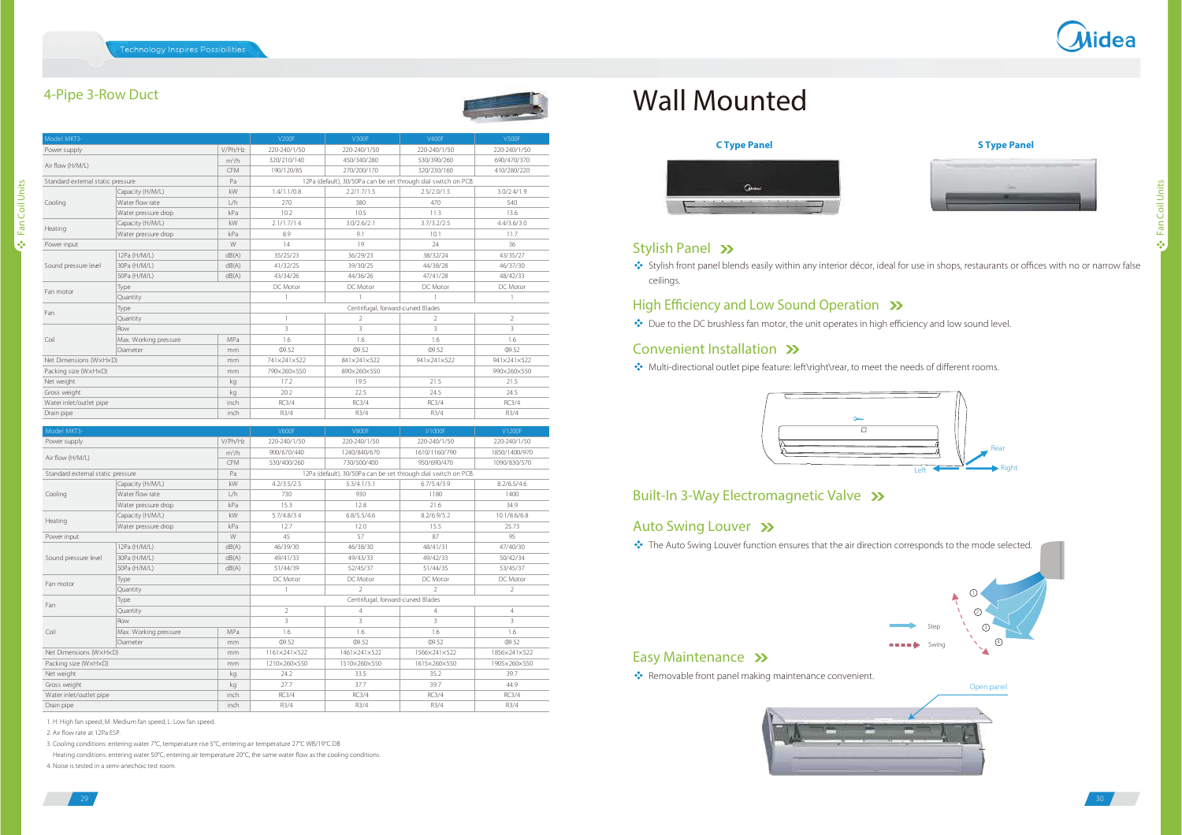### 4-Pipe 3-Row Duct

Fan Coil Units

⊱ Fan Coil Units

| Model MKT3-                       |                       |                | V200F                                                                                                                       | <b>V300F</b>                       | V400F                         | <b>V500F</b>                  |  |
|-----------------------------------|-----------------------|----------------|-----------------------------------------------------------------------------------------------------------------------------|------------------------------------|-------------------------------|-------------------------------|--|
| Power supply                      |                       | V/Ph/Hz        | 220-240/1/50                                                                                                                | 220-240/1/50                       | 220-240/1/50                  | 220-240/1/50                  |  |
| Air flow (H/M/L)                  |                       | $m^3/h$        | 320/210/140                                                                                                                 | 450/340/280                        | 530/390/260                   | 690/470/370                   |  |
|                                   |                       | <b>CFM</b>     | 190/120/85                                                                                                                  | 270/200/170                        | 320/230/160                   | 410/280/220                   |  |
| Standard external static pressure |                       | Pa             | 12Pa (default), 30/50Pa can be set through dial switch on PCB.                                                              |                                    |                               |                               |  |
|                                   | Capacity (H/M/L)      | kW             | 1.4/1.1/0.8                                                                                                                 | 2.2/1.7/1.5                        | 2.5/2.0/1.5                   | 3.0/2.4/1.9                   |  |
| Cooling                           | Water flow rate       | L/h            | 270                                                                                                                         | 380                                | 470                           | 540                           |  |
|                                   | Water pressure drop   | kPa            | 10.2                                                                                                                        | 10.5                               | 11.3                          | 13.6                          |  |
| Capacity (H/M/L)                  |                       | kW             | 2.1/1.7/1.4                                                                                                                 | 3.0/2.6/2.1                        | 3.7/3.2/2.5                   | 4.4/3.6/3.0                   |  |
| Heating                           | Water pressure drop   | kPa            | 8.9                                                                                                                         | 9.1                                | 10.1                          | 11.7                          |  |
| Power input                       |                       | W              | 14                                                                                                                          | 19                                 | 24                            | 36                            |  |
| 12Pa (H/M/L)                      |                       | dB(A)          | 35/25/23                                                                                                                    | 36/29/23                           | 38/32/24                      | 43/35/27                      |  |
| Sound pressure level              | 30Pa (H/M/L)          | dB(A)          | 41/32/25                                                                                                                    | 39/30/25                           | 44/38/28                      | 46/37/30                      |  |
|                                   | 50Pa (H/M/L)          | dB(A)          | 43/34/26                                                                                                                    | 44/36/26                           | 47/41/28                      | 48/42/33                      |  |
|                                   | Type                  |                | DC Motor                                                                                                                    | DC Motor                           | DC Motor                      | DC Motor                      |  |
| Fan motor                         | Quantity              |                | $\mathbf{1}$                                                                                                                | $\mathbf{1}$                       |                               | $\mathbf{1}$                  |  |
|                                   | Type                  |                |                                                                                                                             | Centrifugal, forward-curved Blades |                               |                               |  |
| Fan                               | Quantity              |                | $\mathbf{1}$                                                                                                                | $\overline{2}$                     | $\mathfrak{D}$                | $\mathfrak{D}$                |  |
|                                   | Row                   |                | $\overline{\mathbf{3}}$                                                                                                     | $\overline{\mathbf{3}}$            | 3                             | $\overline{3}$                |  |
| Coil                              | Max. Working pressure | MPa            | 1.6                                                                                                                         | 1.6                                | 1.6                           | 1.6                           |  |
|                                   | Diameter              | mm             | <b>09.52</b>                                                                                                                | <b>09.52</b>                       | <b>09.52</b>                  | <b>09.52</b>                  |  |
| Net Dimensions (WxHxD)            |                       | mm             | 741×241×522                                                                                                                 | 841×241×522                        | 941×241×522                   | 941×241×522                   |  |
| Packing size (WxHxD)              |                       | mm             | 790×260×550                                                                                                                 | 890×260×550                        |                               | 990×260×550                   |  |
| Net weight                        |                       |                | 17.2                                                                                                                        | 19.5                               | 21.5                          | 21.5                          |  |
| Gross weight                      |                       | kg             | 202                                                                                                                         | 225                                | 24.5                          | 24.5                          |  |
| Water inlet/outlet pipe           |                       | inch           | RC3/4                                                                                                                       | RC3/4                              | RC3/4                         | RC3/4                         |  |
| Drain pipe                        |                       | inch           | R3/4                                                                                                                        | R3/4                               | R3/4                          | R3/4                          |  |
|                                   |                       |                |                                                                                                                             |                                    |                               |                               |  |
| Model MKT3-                       |                       | V/Ph/Hz        | <b>V600F</b>                                                                                                                | <b>V800F</b>                       | V1000F                        | V1200F                        |  |
| Power supply                      |                       |                | 220-240/1/50<br>900/670/440                                                                                                 | 220-240/1/50<br>1240/840/670       | 220-240/1/50<br>1610/1160/790 | 220-240/1/50<br>1850/1400/970 |  |
| Air flow (H/M/L)                  |                       | $m^3/h$        |                                                                                                                             |                                    |                               |                               |  |
|                                   |                       | <b>CFM</b>     | 530/400/260<br>730/500/400<br>950/690/470<br>1090/830/570<br>12Pa (default), 30/50Pa can be set through dial switch on PCB. |                                    |                               |                               |  |
| Standard external static pressure |                       | Pa             |                                                                                                                             |                                    |                               |                               |  |
|                                   | Capacity (H/M/L)      | kW             | 4.2/3.5/2.5<br>730                                                                                                          | 5.3/4.1/3.1                        | 6.7/5.4/3.9                   | 8.2/6.5/4.6                   |  |
| Cooling                           | Water flow rate       | L/h            |                                                                                                                             | 930                                | 1180                          | 1400                          |  |
|                                   | Water pressure drop   | kPa            | 15.3                                                                                                                        | 12.8                               | 21.6                          | 34.9                          |  |
| Heating                           | Capacity (H/M/L)      | kW             | 5.7/4.8/3.4                                                                                                                 | 6.8/5.5/4.6                        | 8.2/6.9/5.2                   | 10.1/8.6/6.8                  |  |
|                                   | Water pressure drop   | kPa            | 12.7                                                                                                                        | 12.0                               | 15.5                          | 25.73                         |  |
| Power input                       |                       | W              | 45                                                                                                                          | 57                                 | 87                            | 95                            |  |
|                                   | 12Pa (H/M/L)          | dB(A)<br>dB(A) | 46/39/30                                                                                                                    | 46/38/30                           | 48/41/31                      | 47/40/30                      |  |
| Sound pressure level              | 30Pa (H/M/L)          |                | 49/41/33                                                                                                                    | 49/43/33                           | 49/42/33                      | 50/42/34                      |  |
|                                   | 50Pa (H/M/L)          | dB(A)          | 51/44/39                                                                                                                    | 52/45/37                           | 51/44/35                      | 53/45/37                      |  |
| Fan motor                         | Type                  |                | DC Motor                                                                                                                    | DC Motor                           | DC Motor                      | DC Motor                      |  |
|                                   | Quantity              |                | 1                                                                                                                           | $\overline{2}$                     | $\mathcal{D}$                 | $\overline{2}$                |  |
| Fan                               | Type                  |                |                                                                                                                             | Centrifugal, forward-curved Blades |                               |                               |  |
|                                   | Quantity              |                | $\overline{2}$                                                                                                              | $\overline{4}$                     | 4                             | $\overline{4}$                |  |
|                                   | Row                   |                | $\overline{3}$                                                                                                              | 3                                  | 3                             | 3                             |  |
| Coil                              | Max. Working pressure | MPa            | 1.6                                                                                                                         | 1.6                                | 1.6                           | 1.6                           |  |
|                                   | Diameter<br>mm        |                | 09.52                                                                                                                       | 09.52                              | 09.52                         | 09.52                         |  |
| Net Dimensions (WxHxD)            |                       | mm             | 1161×241×522                                                                                                                | 1461×241×522                       | 1566×241×522                  | 1856×241×522                  |  |
| Packing size (WxHxD)              |                       | mm             | 1210×260×550                                                                                                                | 1510×260×550                       | 1615×260×550                  | 1905×260×550                  |  |
| Net weight                        |                       | kg             | 24.2                                                                                                                        | 33.5                               | 35.2                          | 39.7                          |  |
| Gross weight                      |                       | kg             | 27.7                                                                                                                        | 377                                | 397                           | 449                           |  |
| Water inlet/outlet pipe           |                       | inch           | RC3/4                                                                                                                       | RC3/4                              | <b>RC3/4</b>                  | RC3/4                         |  |
| Drain pipe                        |                       | inch           | R3/4                                                                                                                        | R3/4                               | R3/4                          | R3/4                          |  |

1. H: High fan speed; M: Medium fan speed; L: Low fan speed.

2. Air flow rate at 12Pa ESP.

29

3. Cooling conditions: entering water 7°C, temperature rise 5°C, entering air temperature 27°C WB/19°C DB

Heating conditions: entering water 50°C, entering air temperature 20°C, the same water flow as the cooling conditions.

4. Noise is tested in a semi-anechoic test room.

## Wall Mounted







4

StepSwing

#### Stylish Panel >>

\*\* Stylish front panel blends easily within any interior décor, ideal for use in shops, restaurants or offices with no or narrow false ceilings.

#### High Efficiency and Low Sound Operation >>>

Due to the DC brushless fan motor, the unit operates in high efficiency and low sound level.

#### Convenient Installation >>

Multi-directional outlet pipe feature: left\right\rear, to meet the needs of different rooms.



#### Built-In 3-Way Electromagnetic Valve >>

#### Auto Swing Louver >>

\*\* The Auto Swing Louver function ensures that the air direction corresponds to the mode selected.

#### Easy Maintenance >>

Removable front panel making maintenance convenient.